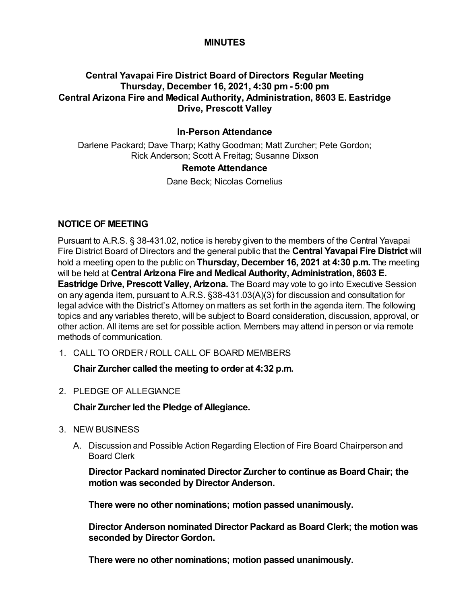## **MINUTES**

## **Central Yavapai Fire District Board of Directors Regular Meeting Thursday, December 16, 2021, 4:30 pm - 5:00 pm Central Arizona Fire and Medical Authority, Administration, 8603 E. Eastridge Drive, Prescott Valley**

### **In-Person Attendance**

Darlene Packard; Dave Tharp; Kathy Goodman; Matt Zurcher; Pete Gordon; Rick Anderson; Scott A Freitag; Susanne Dixson

#### **Remote Attendance**

Dane Beck; Nicolas Cornelius

### **NOTICE OF MEETING**

Pursuant to A.R.S. § 38-431.02, notice is hereby given to the members of the Central Yavapai Fire District Board of Directors and the general public that the **Central Yavapai Fire District** will hold a meeting open to the public on **Thursday, December 16, 2021 at 4:30 p.m.** The meeting will be held at **Central Arizona Fire and Medical Authority, Administration, 8603 E. Eastridge Drive, Prescott Valley, Arizona.** The Board may vote to go into Executive Session on any agenda item, pursuant to A.R.S. §38-431.03(A)(3) for discussion and consultation for legal advice with the District's Attorney on matters as set forth in the agenda item. The following topics and any variables thereto, will be subject to Board consideration, discussion, approval, or other action. All items are set for possible action. Members may attend in person or via remote methods of communication.

1. CALL TO ORDER / ROLL CALL OF BOARD MEMBERS

**Chair Zurcher called the meeting to order at 4:32 p.m.**

2. PLEDGE OF ALLEGIANCE

**Chair Zurcher led the Pledge of Allegiance.**

- 3. NEW BUSINESS
	- A. Discussion and Possible Action Regarding Election of Fire Board Chairperson and Board Clerk

**Director Packard nominated Director Zurcher to continue as Board Chair; the motion was seconded by Director Anderson.**

**There were no other nominations; motion passed unanimously.**

**Director Anderson nominated Director Packard as Board Clerk; the motion was seconded by Director Gordon.**

**There were no other nominations; motion passed unanimously.**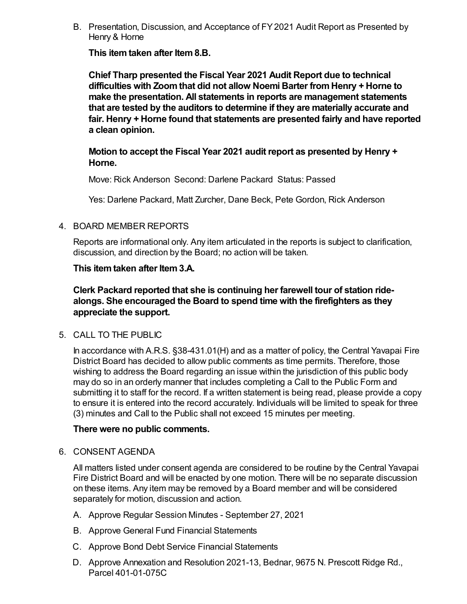B. Presentation, Discussion, and Acceptance of FY 2021 Audit Report as Presented by Henry & Horne

**This item taken after Item 8.B.**

**Chief Tharp presented the Fiscal Year 2021 Audit Report due to technical difficulties with Zoom that did not allow Noemi Barter from Henry + Horne to make the presentation. All statements in reports are management statements that are tested by the auditors to determine if they are materially accurate and fair. Henry + Horne found that statements are presented fairly and have reported a clean opinion.**

**Motion to accept the Fiscal Year 2021 audit report as presented by Henry + Horne.**

Move: Rick Anderson Second: Darlene Packard Status: Passed

Yes: Darlene Packard, Matt Zurcher, Dane Beck, Pete Gordon, Rick Anderson

#### 4. BOARD MEMBER REPORTS

Reports are informational only. Any item articulated in the reports is subject to clarification, discussion, and direction by the Board; no action will be taken.

#### **This item taken after Item 3.A.**

**Clerk Packard reported that she is continuing her farewell tour of station ridealongs. She encouraged the Board to spend time with the firefighters as they appreciate the support.**

### 5. CALL TO THE PUBLIC

In accordance with A.R.S. §38-431.01(H) and as a matter of policy, the Central Yavapai Fire District Board has decided to allow public comments as time permits. Therefore, those wishing to address the Board regarding an issue within the jurisdiction of this public body may do so in an orderly manner that includes completing a Call to the Public Form and submitting it to staff for the record. If a written statement is being read, please provide a copy to ensure it is entered into the record accurately. Individuals will be limited to speak for three (3) minutes and Call to the Public shall not exceed 15 minutes per meeting.

#### **There were no public comments.**

6. CONSENT AGENDA

All matters listed under consent agenda are considered to be routine by the Central Yavapai Fire District Board and will be enacted by one motion. There will be no separate discussion on these items. Any item may be removed by a Board member and will be considered separately for motion, discussion and action.

- A. Approve Regular Session Minutes September 27, 2021
- B. Approve General Fund Financial Statements
- C. Approve Bond Debt Service Financial Statements
- D. Approve Annexation and Resolution 2021-13, Bednar, 9675 N. Prescott Ridge Rd., Parcel 401-01-075C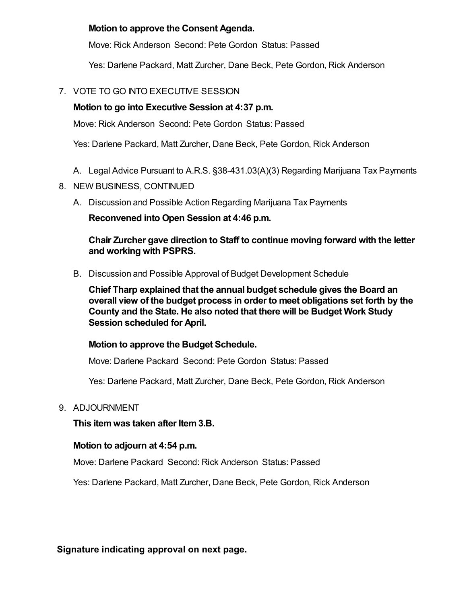# **Motion to approve the Consent Agenda.**

Move: Rick Anderson Second: Pete Gordon Status: Passed

Yes: Darlene Packard, Matt Zurcher, Dane Beck, Pete Gordon, Rick Anderson

# 7. VOTE TO GO INTO EXECUTIVE SESSION

# **Motion to go into Executive Session at 4:37 p.m.**

Move: Rick Anderson Second: Pete Gordon Status: Passed

Yes: Darlene Packard, Matt Zurcher, Dane Beck, Pete Gordon, Rick Anderson

- A. Legal Advice Pursuant to A.R.S. §38-431.03(A)(3) Regarding Marijuana Tax Payments
- 8. NEW BUSINESS, CONTINUED
	- A. Discussion and Possible Action Regarding Marijuana Tax Payments

**Reconvened into Open Session at 4:46 p.m.**

## **Chair Zurcher gave direction to Staff to continue moving forward with the letter and working with PSPRS.**

B. Discussion and Possible Approval of Budget Development Schedule

**Chief Tharp explained that the annual budget schedule gives the Board an overall view of the budget process in order to meet obligations set forth by the County and the State. He also noted that there will be Budget Work Study Session scheduled for April.**

**Motion to approve the Budget Schedule.**

Move: Darlene Packard Second: Pete Gordon Status: Passed

Yes: Darlene Packard, Matt Zurcher, Dane Beck, Pete Gordon, Rick Anderson

# 9. ADJOURNMENT

**This item was taken after Item 3.B.**

# **Motion to adjourn at 4:54 p.m.**

Move: Darlene Packard Second: Rick Anderson Status: Passed

Yes: Darlene Packard, Matt Zurcher, Dane Beck, Pete Gordon, Rick Anderson

**Signature indicating approval on next page.**